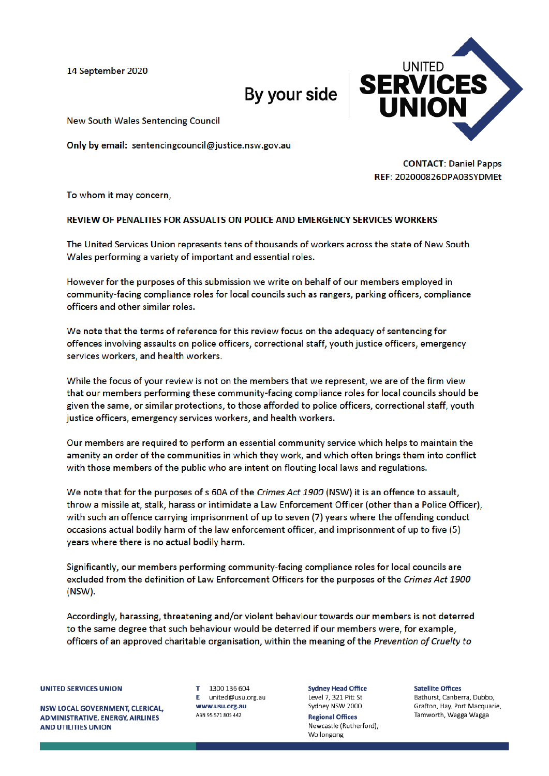14 September 2020

By your side

**New South Wales Sentencing Council** 

Only by email: sentencingcouncil@justice.nsw.gov.au



**CONTACT: Daniel Papps** REF: 202000826DPA03SYDMEt

To whom it may concern,

## REVIEW OF PENALTIES FOR ASSUALTS ON POLICE AND EMERGENCY SERVICES WORKERS

The United Services Union represents tens of thousands of workers across the state of New South Wales performing a variety of important and essential roles.

However for the purposes of this submission we write on behalf of our members employed in community-facing compliance roles for local councils such as rangers, parking officers, compliance officers and other similar roles.

We note that the terms of reference for this review focus on the adequacy of sentencing for offences involving assaults on police officers, correctional staff, youth justice officers, emergency services workers, and health workers.

While the focus of your review is not on the members that we represent, we are of the firm view that our members performing these community-facing compliance roles for local councils should be given the same, or similar protections, to those afforded to police officers, correctional staff, youth justice officers, emergency services workers, and health workers.

Our members are required to perform an essential community service which helps to maintain the amenity an order of the communities in which they work, and which often brings them into conflict with those members of the public who are intent on flouting local laws and regulations.

We note that for the purposes of s 60A of the Crimes Act 1900 (NSW) it is an offence to assault, throw a missile at, stalk, harass or intimidate a Law Enforcement Officer (other than a Police Officer), with such an offence carrying imprisonment of up to seven (7) years where the offending conduct occasions actual bodily harm of the law enforcement officer, and imprisonment of up to five (5) years where there is no actual bodily harm.

Significantly, our members performing community-facing compliance roles for local councils are excluded from the definition of Law Enforcement Officers for the purposes of the Crimes Act 1900 (NSW).

Accordingly, harassing, threatening and/or violent behaviour towards our members is not deterred to the same degree that such behaviour would be deterred if our members were, for example, officers of an approved charitable organisation, within the meaning of the Prevention of Cruelty to

**UNITED SERVICES UNION** 

**NSW LOCAL GOVERNMENT, CLERICAL, ADMINISTRATIVE, ENERGY, AIRLINES AND UTILITIES UNION** 

1300 136 604 E united@usu.org.au www.usu.org.au ABN 95 571 805 442

**Sydney Head Office** Level 7, 321 Pitt St Sydney NSW 2000

**Regional Offices** Newcastle (Rutherford). Wollongong

**Satellite Offices** Bathurst, Canberra, Dubbo.

Grafton, Hay, Port Macquarie, Tamworth, Wagga Wagga